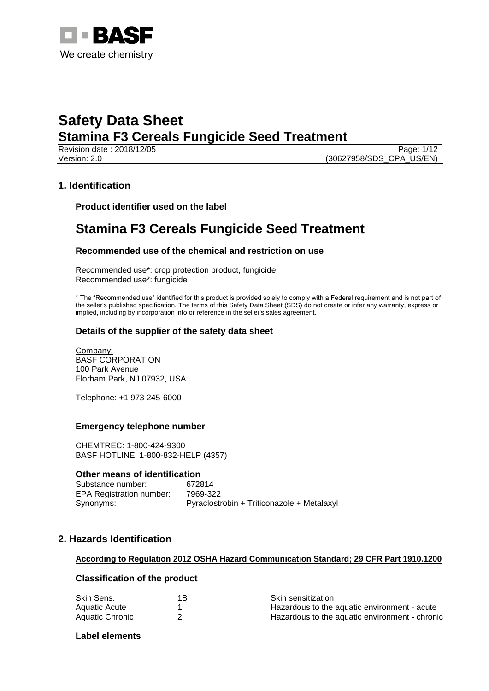

Page: 1/12 Version: 2.0 (30627958/SDS\_CPA\_US/EN)

## **1. Identification**

**Product identifier used on the label**

## **Stamina F3 Cereals Fungicide Seed Treatment**

## **Recommended use of the chemical and restriction on use**

Recommended use\*: crop protection product, fungicide Recommended use\*: fungicide

\* The "Recommended use" identified for this product is provided solely to comply with a Federal requirement and is not part of the seller's published specification. The terms of this Safety Data Sheet (SDS) do not create or infer any warranty, express or implied, including by incorporation into or reference in the seller's sales agreement.

### **Details of the supplier of the safety data sheet**

Company: BASF CORPORATION 100 Park Avenue Florham Park, NJ 07932, USA

Telephone: +1 973 245-6000

#### **Emergency telephone number**

CHEMTREC: 1-800-424-9300 BASF HOTLINE: 1-800-832-HELP (4357)

#### **Other means of identification**

Substance number: 672814 EPA Registration number: 7969-322 Synonyms: Pyraclostrobin + Triticonazole + Metalaxyl

## **2. Hazards Identification**

#### **According to Regulation 2012 OSHA Hazard Communication Standard; 29 CFR Part 1910.1200**

### **Classification of the product**

| Skin Sens.      | 1В | <b>Skin sensitization</b>                      |
|-----------------|----|------------------------------------------------|
| Aquatic Acute   |    | Hazardous to the aquatic environment - acute   |
| Aquatic Chronic |    | Hazardous to the aquatic environment - chronic |

## **Label elements**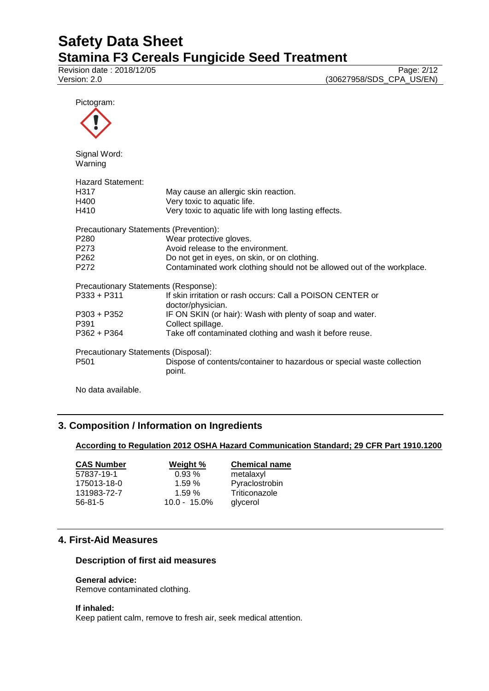Revision date : 2018/12/05 Page: 2/12

Version: 2.0 (30627958/SDS\_CPA\_US/EN)

Pictogram:  $\boldsymbol{\wedge}$ 

| Signal Word:<br>Warning                |                                                                                  |
|----------------------------------------|----------------------------------------------------------------------------------|
| Hazard Statement:                      |                                                                                  |
| H <sub>317</sub>                       | May cause an allergic skin reaction.                                             |
| H400                                   | Very toxic to aquatic life.                                                      |
| H410                                   | Very toxic to aquatic life with long lasting effects.                            |
| Precautionary Statements (Prevention): |                                                                                  |
| P <sub>280</sub>                       | Wear protective gloves.                                                          |
| P <sub>273</sub>                       | Avoid release to the environment.                                                |
| P <sub>262</sub>                       | Do not get in eyes, on skin, or on clothing.                                     |
| P <sub>272</sub>                       | Contaminated work clothing should not be allowed out of the workplace.           |
| Precautionary Statements (Response):   |                                                                                  |
| $P333 + P311$                          | If skin irritation or rash occurs: Call a POISON CENTER or                       |
|                                        | doctor/physician.                                                                |
| P303 + P352                            | IF ON SKIN (or hair): Wash with plenty of soap and water.                        |
| P391                                   | Collect spillage.                                                                |
| P362 + P364                            | Take off contaminated clothing and wash it before reuse.                         |
| Precautionary Statements (Disposal):   |                                                                                  |
| P <sub>501</sub>                       | Dispose of contents/container to hazardous or special waste collection<br>point. |
|                                        |                                                                                  |

No data available.

## **3. Composition / Information on Ingredients**

## **According to Regulation 2012 OSHA Hazard Communication Standard; 29 CFR Part 1910.1200**

| <b>CAS Number</b> | Weight %        | <b>Chemical name</b> |
|-------------------|-----------------|----------------------|
| 57837-19-1        | 0.93%           | metalaxyl            |
| 175013-18-0       | 1.59%           | Pyraclostrobin       |
| 131983-72-7       | 1.59%           | Triticonazole        |
| $56 - 81 - 5$     | $10.0 - 15.0\%$ | glycerol             |

## **4. First-Aid Measures**

#### **Description of first aid measures**

#### **General advice:**

Remove contaminated clothing.

#### **If inhaled:**

Keep patient calm, remove to fresh air, seek medical attention.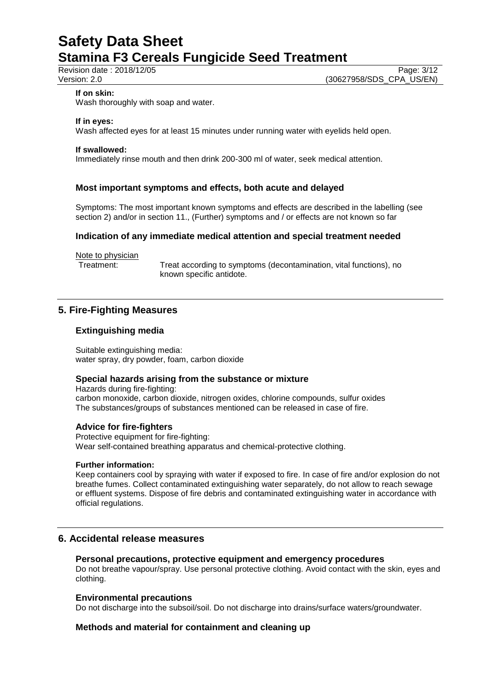Revision date : 2018/12/05<br>
Version: 2.0<br>
Version: 2.0<br>
(30627958/SDS\_CPA\_US/EN) (30627958/SDS\_CPA\_US/EN)

#### **If on skin:**

Wash thoroughly with soap and water.

#### **If in eyes:**

Wash affected eyes for at least 15 minutes under running water with eyelids held open.

#### **If swallowed:**

Immediately rinse mouth and then drink 200-300 ml of water, seek medical attention.

### **Most important symptoms and effects, both acute and delayed**

Symptoms: The most important known symptoms and effects are described in the labelling (see section 2) and/or in section 11., (Further) symptoms and / or effects are not known so far

### **Indication of any immediate medical attention and special treatment needed**

Note to physician<br>Treatment:

Treat according to symptoms (decontamination, vital functions), no known specific antidote.

## **5. Fire-Fighting Measures**

### **Extinguishing media**

Suitable extinguishing media: water spray, dry powder, foam, carbon dioxide

#### **Special hazards arising from the substance or mixture**

Hazards during fire-fighting: carbon monoxide, carbon dioxide, nitrogen oxides, chlorine compounds, sulfur oxides The substances/groups of substances mentioned can be released in case of fire.

#### **Advice for fire-fighters**

Protective equipment for fire-fighting: Wear self-contained breathing apparatus and chemical-protective clothing.

#### **Further information:**

Keep containers cool by spraying with water if exposed to fire. In case of fire and/or explosion do not breathe fumes. Collect contaminated extinguishing water separately, do not allow to reach sewage or effluent systems. Dispose of fire debris and contaminated extinguishing water in accordance with official regulations.

## **6. Accidental release measures**

#### **Personal precautions, protective equipment and emergency procedures**

Do not breathe vapour/spray. Use personal protective clothing. Avoid contact with the skin, eyes and clothing.

#### **Environmental precautions**

Do not discharge into the subsoil/soil. Do not discharge into drains/surface waters/groundwater.

## **Methods and material for containment and cleaning up**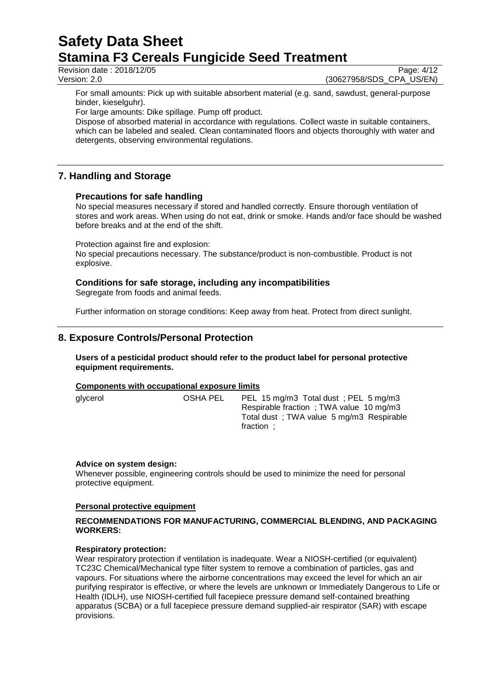Revision date : 2018/12/05<br>
Version: 2.0<br>
Version: 2.0<br>
(30627958/SDS\_CPA\_US/EN) (30627958/SDS\_CPA\_US/EN)

For small amounts: Pick up with suitable absorbent material (e.g. sand, sawdust, general-purpose binder, kieselguhr).

For large amounts: Dike spillage. Pump off product.

Dispose of absorbed material in accordance with regulations. Collect waste in suitable containers, which can be labeled and sealed. Clean contaminated floors and objects thoroughly with water and detergents, observing environmental regulations.

## **7. Handling and Storage**

## **Precautions for safe handling**

No special measures necessary if stored and handled correctly. Ensure thorough ventilation of stores and work areas. When using do not eat, drink or smoke. Hands and/or face should be washed before breaks and at the end of the shift.

Protection against fire and explosion:

No special precautions necessary. The substance/product is non-combustible. Product is not explosive.

## **Conditions for safe storage, including any incompatibilities**

Segregate from foods and animal feeds.

Further information on storage conditions: Keep away from heat. Protect from direct sunlight.

## **8. Exposure Controls/Personal Protection**

**Users of a pesticidal product should refer to the product label for personal protective equipment requirements.**

## **Components with occupational exposure limits**

glycerol OSHA PEL PEL 15 mg/m3 Total dust ; PEL 5 mg/m3 Respirable fraction ; TWA value 10 mg/m3 Total dust ; TWA value 5 mg/m3 Respirable fraction ;

## **Advice on system design:**

Whenever possible, engineering controls should be used to minimize the need for personal protective equipment.

## **Personal protective equipment**

### **RECOMMENDATIONS FOR MANUFACTURING, COMMERCIAL BLENDING, AND PACKAGING WORKERS:**

## **Respiratory protection:**

Wear respiratory protection if ventilation is inadequate. Wear a NIOSH-certified (or equivalent) TC23C Chemical/Mechanical type filter system to remove a combination of particles, gas and vapours. For situations where the airborne concentrations may exceed the level for which an air purifying respirator is effective, or where the levels are unknown or Immediately Dangerous to Life or Health (IDLH), use NIOSH-certified full facepiece pressure demand self-contained breathing apparatus (SCBA) or a full facepiece pressure demand supplied-air respirator (SAR) with escape provisions.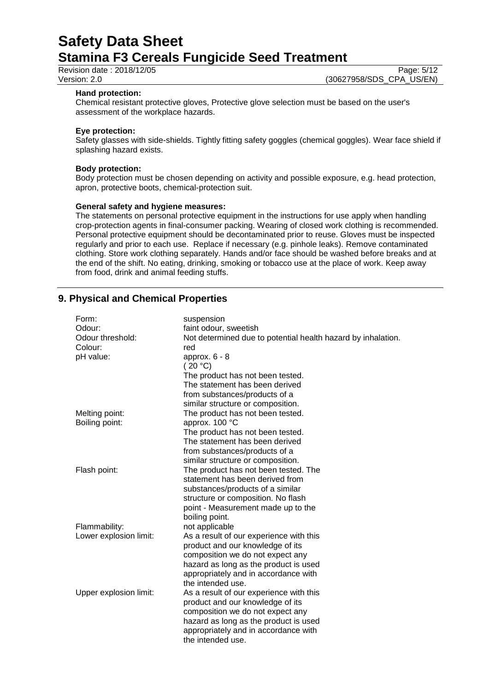Revision date : 2018/12/05<br>
Version: 2.0<br>
Version: 2.0<br>
(30627958/SDS\_CPA\_US/EN)

(30627958/SDS\_CPA\_US/EN)

#### **Hand protection:**

Chemical resistant protective gloves, Protective glove selection must be based on the user's assessment of the workplace hazards.

#### **Eye protection:**

Safety glasses with side-shields. Tightly fitting safety goggles (chemical goggles). Wear face shield if splashing hazard exists.

#### **Body protection:**

Body protection must be chosen depending on activity and possible exposure, e.g. head protection, apron, protective boots, chemical-protection suit.

#### **General safety and hygiene measures:**

The statements on personal protective equipment in the instructions for use apply when handling crop-protection agents in final-consumer packing. Wearing of closed work clothing is recommended. Personal protective equipment should be decontaminated prior to reuse. Gloves must be inspected regularly and prior to each use. Replace if necessary (e.g. pinhole leaks). Remove contaminated clothing. Store work clothing separately. Hands and/or face should be washed before breaks and at the end of the shift. No eating, drinking, smoking or tobacco use at the place of work. Keep away from food, drink and animal feeding stuffs.

## **9. Physical and Chemical Properties**

| Form:                  | suspension                                                   |  |
|------------------------|--------------------------------------------------------------|--|
| Odour:                 | faint odour, sweetish                                        |  |
| Odour threshold:       | Not determined due to potential health hazard by inhalation. |  |
| Colour:                | red                                                          |  |
| pH value:              | approx. $6 - 8$                                              |  |
|                        | (20 °C)                                                      |  |
|                        | The product has not been tested.                             |  |
|                        | The statement has been derived                               |  |
|                        | from substances/products of a                                |  |
|                        | similar structure or composition.                            |  |
| Melting point:         | The product has not been tested.                             |  |
| Boiling point:         | approx. 100 °C                                               |  |
|                        | The product has not been tested.                             |  |
|                        | The statement has been derived                               |  |
|                        | from substances/products of a                                |  |
|                        | similar structure or composition.                            |  |
| Flash point:           | The product has not been tested. The                         |  |
|                        | statement has been derived from                              |  |
|                        | substances/products of a similar                             |  |
|                        | structure or composition. No flash                           |  |
|                        | point - Measurement made up to the                           |  |
|                        | boiling point.                                               |  |
| Flammability:          | not applicable                                               |  |
| Lower explosion limit: | As a result of our experience with this                      |  |
|                        | product and our knowledge of its                             |  |
|                        | composition we do not expect any                             |  |
|                        | hazard as long as the product is used                        |  |
|                        | appropriately and in accordance with                         |  |
|                        | the intended use.                                            |  |
| Upper explosion limit: | As a result of our experience with this                      |  |
|                        | product and our knowledge of its                             |  |
|                        | composition we do not expect any                             |  |
|                        | hazard as long as the product is used                        |  |
|                        | appropriately and in accordance with                         |  |
|                        | the intended use.                                            |  |
|                        |                                                              |  |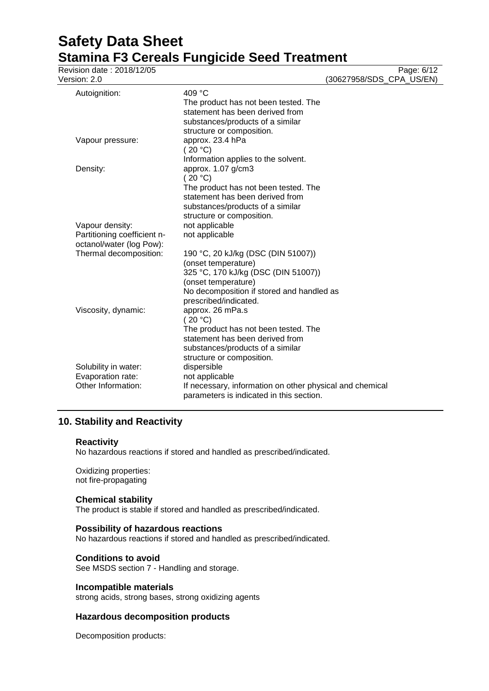| Revision date: 2018/12/05<br>Version: 2.0                                  |                                                                                                                                                                                               | Page: 6/12<br>(30627958/SDS_CPA_US/EN) |
|----------------------------------------------------------------------------|-----------------------------------------------------------------------------------------------------------------------------------------------------------------------------------------------|----------------------------------------|
| Autoignition:                                                              | 409 °C<br>The product has not been tested. The<br>statement has been derived from<br>substances/products of a similar                                                                         |                                        |
| Vapour pressure:                                                           | structure or composition.<br>approx. 23.4 hPa<br>(20 °C)<br>Information applies to the solvent.                                                                                               |                                        |
| Density:                                                                   | approx. 1.07 g/cm3<br>(20 °C)<br>The product has not been tested. The<br>statement has been derived from<br>substances/products of a similar<br>structure or composition.                     |                                        |
| Vapour density:<br>Partitioning coefficient n-<br>octanol/water (log Pow): | not applicable<br>not applicable                                                                                                                                                              |                                        |
| Thermal decomposition:                                                     | 190 °C, 20 kJ/kg (DSC (DIN 51007))<br>(onset temperature)<br>325 °C, 170 kJ/kg (DSC (DIN 51007))<br>(onset temperature)<br>No decomposition if stored and handled as<br>prescribed/indicated. |                                        |
| Viscosity, dynamic:                                                        | approx. 26 mPa.s<br>(20 °C)<br>The product has not been tested. The<br>statement has been derived from<br>substances/products of a similar<br>structure or composition.                       |                                        |
| Solubility in water:<br>Evaporation rate:<br>Other Information:            | dispersible<br>not applicable<br>If necessary, information on other physical and chemical<br>parameters is indicated in this section.                                                         |                                        |

## **10. Stability and Reactivity**

#### **Reactivity**

No hazardous reactions if stored and handled as prescribed/indicated.

Oxidizing properties: not fire-propagating

## **Chemical stability**

The product is stable if stored and handled as prescribed/indicated.

## **Possibility of hazardous reactions**

No hazardous reactions if stored and handled as prescribed/indicated.

## **Conditions to avoid**

See MSDS section 7 - Handling and storage.

## **Incompatible materials**

strong acids, strong bases, strong oxidizing agents

## **Hazardous decomposition products**

Decomposition products: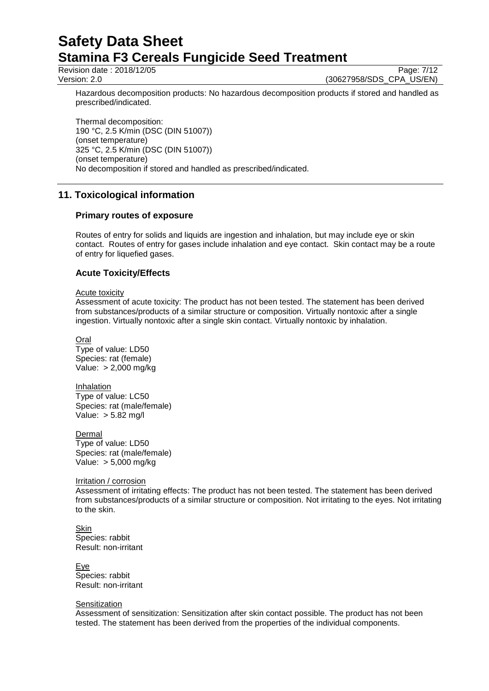Revision date : 2018/12/05 Page: 7/12

Version: 2.0 (30627958/SDS\_CPA\_US/EN)

Hazardous decomposition products: No hazardous decomposition products if stored and handled as prescribed/indicated.

Thermal decomposition: 190 °C, 2.5 K/min (DSC (DIN 51007)) (onset temperature) 325 °C, 2.5 K/min (DSC (DIN 51007)) (onset temperature) No decomposition if stored and handled as prescribed/indicated.

## **11. Toxicological information**

### **Primary routes of exposure**

Routes of entry for solids and liquids are ingestion and inhalation, but may include eye or skin contact. Routes of entry for gases include inhalation and eye contact. Skin contact may be a route of entry for liquefied gases.

### **Acute Toxicity/Effects**

#### Acute toxicity

Assessment of acute toxicity: The product has not been tested. The statement has been derived from substances/products of a similar structure or composition. Virtually nontoxic after a single ingestion. Virtually nontoxic after a single skin contact. Virtually nontoxic by inhalation.

**Oral** Type of value: LD50 Species: rat (female) Value: > 2,000 mg/kg

Inhalation Type of value: LC50 Species: rat (male/female) Value: > 5.82 mg/l

**Dermal** Type of value: LD50 Species: rat (male/female) Value: > 5,000 mg/kg

#### Irritation / corrosion

Assessment of irritating effects: The product has not been tested. The statement has been derived from substances/products of a similar structure or composition. Not irritating to the eyes. Not irritating to the skin.

Skin Species: rabbit Result: non-irritant

Eye Species: rabbit Result: non-irritant

#### **Sensitization**

Assessment of sensitization: Sensitization after skin contact possible. The product has not been tested. The statement has been derived from the properties of the individual components.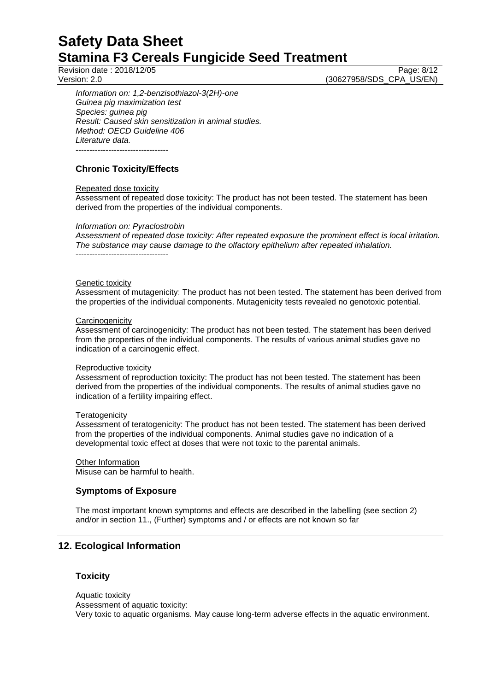Revision date : 2018/12/05 Page: 8/12

Version: 2.0 (30627958/SDS\_CPA\_US/EN)

*Information on: 1,2-benzisothiazol-3(2H)-one Guinea pig maximization test Species: guinea pig Result: Caused skin sensitization in animal studies. Method: OECD Guideline 406 Literature data.* ----------------------------------

## **Chronic Toxicity/Effects**

### Repeated dose toxicity

Assessment of repeated dose toxicity: The product has not been tested. The statement has been derived from the properties of the individual components.

### *Information on: Pyraclostrobin*

----------------------------------

*Assessment of repeated dose toxicity: After repeated exposure the prominent effect is local irritation. The substance may cause damage to the olfactory epithelium after repeated inhalation.*

#### Genetic toxicity

Assessment of mutagenicity: The product has not been tested. The statement has been derived from the properties of the individual components. Mutagenicity tests revealed no genotoxic potential.

#### **Carcinogenicity**

Assessment of carcinogenicity: The product has not been tested. The statement has been derived from the properties of the individual components. The results of various animal studies gave no indication of a carcinogenic effect.

#### Reproductive toxicity

Assessment of reproduction toxicity: The product has not been tested. The statement has been derived from the properties of the individual components. The results of animal studies gave no indication of a fertility impairing effect.

#### **Teratogenicity**

Assessment of teratogenicity: The product has not been tested. The statement has been derived from the properties of the individual components. Animal studies gave no indication of a developmental toxic effect at doses that were not toxic to the parental animals.

## **Other Information**

Misuse can be harmful to health.

## **Symptoms of Exposure**

The most important known symptoms and effects are described in the labelling (see section 2) and/or in section 11., (Further) symptoms and / or effects are not known so far

## **12. Ecological Information**

## **Toxicity**

Aquatic toxicity Assessment of aquatic toxicity: Very toxic to aquatic organisms. May cause long-term adverse effects in the aquatic environment.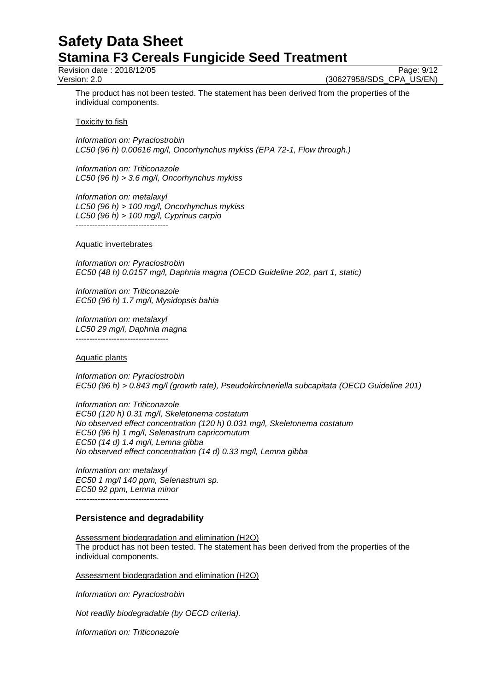Revision date : 2018/12/05 Page: 9/12

Version: 2.0 (30627958/SDS\_CPA\_US/EN)

The product has not been tested. The statement has been derived from the properties of the individual components.

**Toxicity to fish** 

*Information on: Pyraclostrobin LC50 (96 h) 0.00616 mg/l, Oncorhynchus mykiss (EPA 72-1, Flow through.)*

*Information on: Triticonazole LC50 (96 h) > 3.6 mg/l, Oncorhynchus mykiss*

*Information on: metalaxyl LC50 (96 h) > 100 mg/l, Oncorhynchus mykiss LC50 (96 h) > 100 mg/l, Cyprinus carpio* ----------------------------------

Aquatic invertebrates

*Information on: Pyraclostrobin EC50 (48 h) 0.0157 mg/l, Daphnia magna (OECD Guideline 202, part 1, static)*

*Information on: Triticonazole EC50 (96 h) 1.7 mg/l, Mysidopsis bahia*

*Information on: metalaxyl LC50 29 mg/l, Daphnia magna* ----------------------------------

## Aquatic plants

*Information on: Pyraclostrobin EC50 (96 h) > 0.843 mg/l (growth rate), Pseudokirchneriella subcapitata (OECD Guideline 201)*

*Information on: Triticonazole EC50 (120 h) 0.31 mg/l, Skeletonema costatum No observed effect concentration (120 h) 0.031 mg/l, Skeletonema costatum EC50 (96 h) 1 mg/l, Selenastrum capricornutum EC50 (14 d) 1.4 mg/l, Lemna gibba No observed effect concentration (14 d) 0.33 mg/l, Lemna gibba*

*Information on: metalaxyl EC50 1 mg/l 140 ppm, Selenastrum sp. EC50 92 ppm, Lemna minor* ----------------------------------

## **Persistence and degradability**

Assessment biodegradation and elimination (H2O) The product has not been tested. The statement has been derived from the properties of the individual components.

Assessment biodegradation and elimination (H2O)

*Information on: Pyraclostrobin*

*Not readily biodegradable (by OECD criteria).*

*Information on: Triticonazole*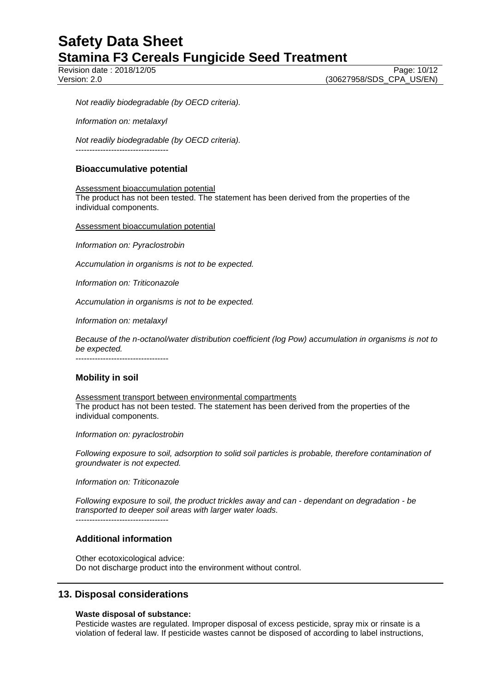Revision date : 2018/12/05 Page: 10/12

*Not readily biodegradable (by OECD criteria).*

*Information on: metalaxyl*

*Not readily biodegradable (by OECD criteria).* ----------------------------------

## **Bioaccumulative potential**

Assessment bioaccumulation potential The product has not been tested. The statement has been derived from the properties of the individual components.

Assessment bioaccumulation potential

*Information on: Pyraclostrobin*

*Accumulation in organisms is not to be expected.*

*Information on: Triticonazole*

*Accumulation in organisms is not to be expected.*

*Information on: metalaxyl*

*Because of the n-octanol/water distribution coefficient (log Pow) accumulation in organisms is not to be expected.*

----------------------------------

## **Mobility in soil**

Assessment transport between environmental compartments The product has not been tested. The statement has been derived from the properties of the individual components.

*Information on: pyraclostrobin*

*Following exposure to soil, adsorption to solid soil particles is probable, therefore contamination of groundwater is not expected.*

*Information on: Triticonazole*

*Following exposure to soil, the product trickles away and can - dependant on degradation - be transported to deeper soil areas with larger water loads.* ----------------------------------

## **Additional information**

Other ecotoxicological advice: Do not discharge product into the environment without control.

## **13. Disposal considerations**

#### **Waste disposal of substance:**

Pesticide wastes are regulated. Improper disposal of excess pesticide, spray mix or rinsate is a violation of federal law. If pesticide wastes cannot be disposed of according to label instructions,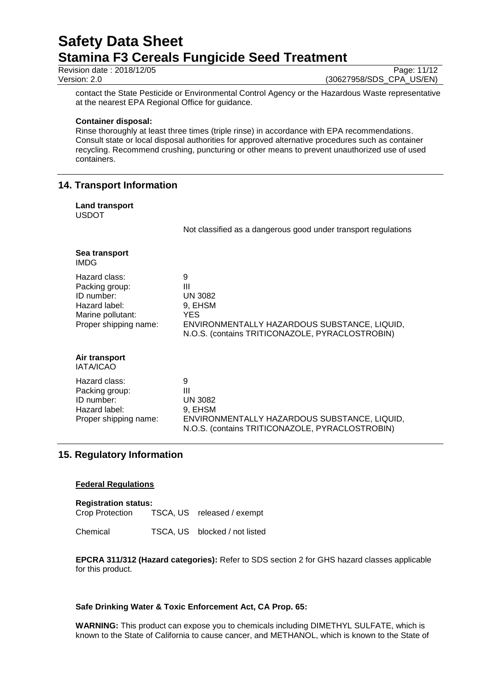Revision date : 2018/12/05 Page: 11/12<br>Version: 2.0 (30627958/SDS\_CPA\_US/EN)

(30627958/SDS\_CPA\_US/EN)

contact the State Pesticide or Environmental Control Agency or the Hazardous Waste representative at the nearest EPA Regional Office for guidance.

#### **Container disposal:**

Rinse thoroughly at least three times (triple rinse) in accordance with EPA recommendations. Consult state or local disposal authorities for approved alternative procedures such as container recycling. Recommend crushing, puncturing or other means to prevent unauthorized use of used containers.

## **14. Transport Information**

## **Land transport**

USDOT

Not classified as a dangerous good under transport regulations

N.O.S. (contains TRITICONAZOLE, PYRACLOSTROBIN)

| Sea transport<br><b>IMDG</b>                                                                                 |                                                                                                                                                |
|--------------------------------------------------------------------------------------------------------------|------------------------------------------------------------------------------------------------------------------------------------------------|
| Hazard class:<br>Packing group:<br>ID number:<br>Hazard label:<br>Marine pollutant:<br>Proper shipping name: | 9<br>Ш<br><b>UN 3082</b><br>9, EHSM<br>YES.<br>ENVIRONMENTALLY HAZARDOUS SUBSTANCE, LIQUID,<br>N.O.S. (contains TRITICONAZOLE, PYRACLOSTROBIN) |
| Air transport<br><b>IATA/ICAO</b>                                                                            |                                                                                                                                                |
| Hazard class:<br>Packing group:<br>ID number:<br>Hazard label:                                               | 9<br>Ш<br><b>UN 3082</b><br>9, EHSM                                                                                                            |

Proper shipping name: ENVIRONMENTALLY HAZARDOUS SUBSTANCE, LIQUID,

## **15. Regulatory Information**

#### **Federal Regulations**

**Registration status:** TSCA, US released / exempt

Chemical TSCA, US blocked / not listed

**EPCRA 311/312 (Hazard categories):** Refer to SDS section 2 for GHS hazard classes applicable for this product.

#### **Safe Drinking Water & Toxic Enforcement Act, CA Prop. 65:**

**WARNING:** This product can expose you to chemicals including DIMETHYL SULFATE, which is known to the State of California to cause cancer, and METHANOL, which is known to the State of